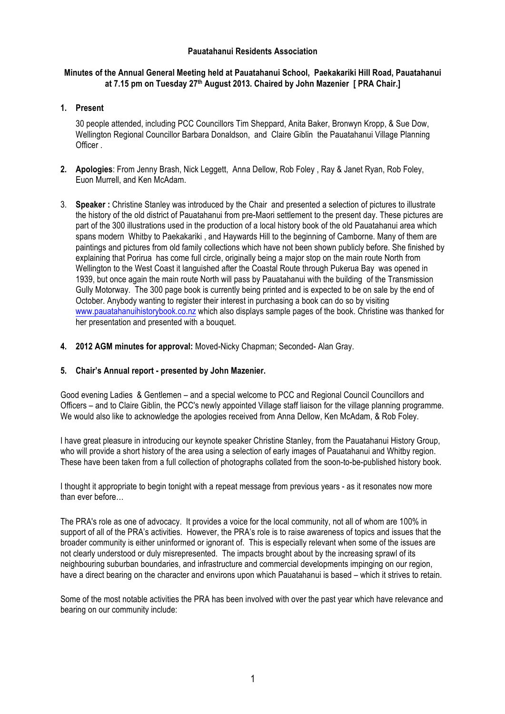## **Pauatahanui Residents Association**

## **Minutes of the Annual General Meeting held at Pauatahanui School, Paekakariki Hill Road, Pauatahanui at 7.15 pm on Tuesday 27th August 2013. Chaired by John Mazenier [ PRA Chair.]**

## **1. Present**

30 people attended, including PCC Councillors Tim Sheppard, Anita Baker, Bronwyn Kropp, & Sue Dow, Wellington Regional Councillor Barbara Donaldson, and Claire Giblin the Pauatahanui Village Planning Officer .

- **2. Apologies**: From Jenny Brash, Nick Leggett, Anna Dellow, Rob Foley , Ray & Janet Ryan, Rob Foley, Euon Murrell, and Ken McAdam.
- 3. **Speaker :** Christine Stanley was introduced by the Chair and presented a selection of pictures to illustrate the history of the old district of Pauatahanui from pre-Maori settlement to the present day. These pictures are part of the 300 illustrations used in the production of a local history book of the old Pauatahanui area which spans modern Whitby to Paekakariki , and Haywards Hill to the beginning of Camborne. Many of them are paintings and pictures from old family collections which have not been shown publicly before. She finished by explaining that Porirua has come full circle, originally being a major stop on the main route North from Wellington to the West Coast it languished after the Coastal Route through Pukerua Bay was opened in 1939, but once again the main route North will pass by Pauatahanui with the building of the Transmission Gully Motorway. The 300 page book is currently being printed and is expected to be on sale by the end of October. Anybody wanting to register their interest in purchasing a book can do so by visiting www.pauatahanuihistorybook.co.nz which also displays sample pages of the book. Christine was thanked for her presentation and presented with a bouquet.
- **4. 2012 AGM minutes for approval:** Moved-Nicky Chapman; Seconded- Alan Gray.

## **5. Chair's Annual report - presented by John Mazenier.**

Good evening Ladies & Gentlemen – and a special welcome to PCC and Regional Council Councillors and Officers – and to Claire Giblin, the PCC's newly appointed Village staff liaison for the village planning programme. We would also like to acknowledge the apologies received from Anna Dellow, Ken McAdam, & Rob Foley.

I have great pleasure in introducing our keynote speaker Christine Stanley, from the Pauatahanui History Group, who will provide a short history of the area using a selection of early images of Pauatahanui and Whitby region. These have been taken from a full collection of photographs collated from the soon-to-be-published history book.

I thought it appropriate to begin tonight with a repeat message from previous years - as it resonates now more than ever before…

The PRA's role as one of advocacy. It provides a voice for the local community, not all of whom are 100% in support of all of the PRA's activities. However, the PRA's role is to raise awareness of topics and issues that the broader community is either uninformed or ignorant of. This is especially relevant when some of the issues are not clearly understood or duly misrepresented. The impacts brought about by the increasing sprawl of its neighbouring suburban boundaries, and infrastructure and commercial developments impinging on our region, have a direct bearing on the character and environs upon which Pauatahanui is based – which it strives to retain.

Some of the most notable activities the PRA has been involved with over the past year which have relevance and bearing on our community include: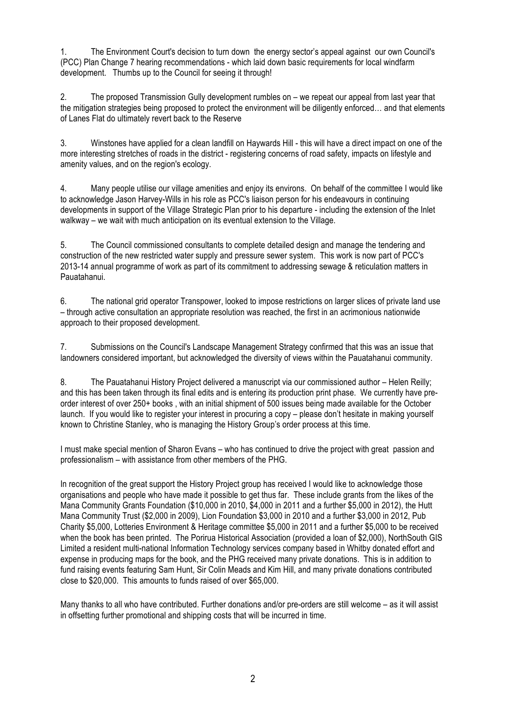1. The Environment Court's decision to turn down the energy sector's appeal against our own Council's (PCC) Plan Change 7 hearing recommendations - which laid down basic requirements for local windfarm development. Thumbs up to the Council for seeing it through!

2. The proposed Transmission Gully development rumbles on – we repeat our appeal from last year that the mitigation strategies being proposed to protect the environment will be diligently enforced… and that elements of Lanes Flat do ultimately revert back to the Reserve

3. Winstones have applied for a clean landfill on Haywards Hill - this will have a direct impact on one of the more interesting stretches of roads in the district - registering concerns of road safety, impacts on lifestyle and amenity values, and on the region's ecology.

4. Many people utilise our village amenities and enjoy its environs. On behalf of the committee I would like to acknowledge Jason Harvey-Wills in his role as PCC's liaison person for his endeavours in continuing developments in support of the Village Strategic Plan prior to his departure - including the extension of the Inlet walkway – we wait with much anticipation on its eventual extension to the Village.

5. The Council commissioned consultants to complete detailed design and manage the tendering and construction of the new restricted water supply and pressure sewer system. This work is now part of PCC's 2013-14 annual programme of work as part of its commitment to addressing sewage & reticulation matters in Pauatahanui.

6. The national grid operator Transpower, looked to impose restrictions on larger slices of private land use – through active consultation an appropriate resolution was reached, the first in an acrimonious nationwide approach to their proposed development.

7. Submissions on the Council's Landscape Management Strategy confirmed that this was an issue that landowners considered important, but acknowledged the diversity of views within the Pauatahanui community.

8. The Pauatahanui History Project delivered a manuscript via our commissioned author – Helen Reilly; and this has been taken through its final edits and is entering its production print phase. We currently have preorder interest of over 250+ books , with an initial shipment of 500 issues being made available for the October launch. If you would like to register your interest in procuring a copy – please don't hesitate in making yourself known to Christine Stanley, who is managing the History Group's order process at this time.

I must make special mention of Sharon Evans – who has continued to drive the project with great passion and professionalism – with assistance from other members of the PHG.

In recognition of the great support the History Project group has received I would like to acknowledge those organisations and people who have made it possible to get thus far. These include grants from the likes of the Mana Community Grants Foundation (\$10,000 in 2010, \$4,000 in 2011 and a further \$5,000 in 2012), the Hutt Mana Community Trust (\$2,000 in 2009), Lion Foundation \$3,000 in 2010 and a further \$3,000 in 2012, Pub Charity \$5,000, Lotteries Environment & Heritage committee \$5,000 in 2011 and a further \$5,000 to be received when the book has been printed. The Porirua Historical Association (provided a loan of \$2,000), NorthSouth GIS Limited a resident multi-national Information Technology services company based in Whitby donated effort and expense in producing maps for the book, and the PHG received many private donations. This is in addition to fund raising events featuring Sam Hunt, Sir Colin Meads and Kim Hill, and many private donations contributed close to \$20,000. This amounts to funds raised of over \$65,000.

Many thanks to all who have contributed. Further donations and/or pre-orders are still welcome – as it will assist in offsetting further promotional and shipping costs that will be incurred in time.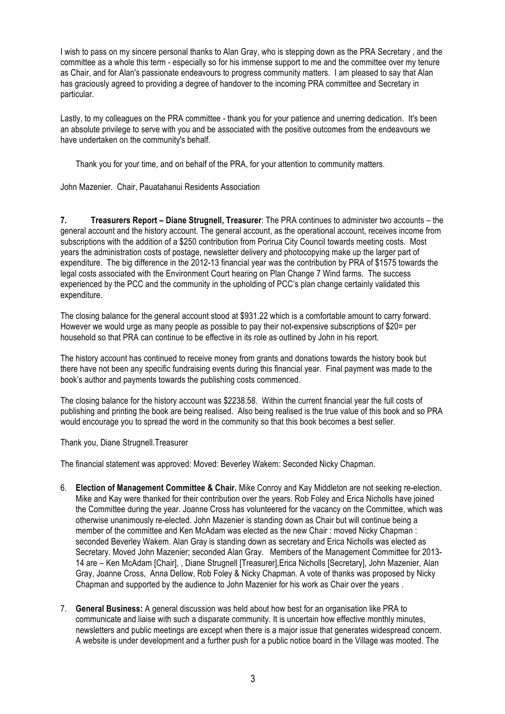I wish to pass on my sincere personal thanks to Alan Gray, who is stepping down as the PRA Secretary , and the committee as a whole this term - especially so for his immense support to me and the committee over my tenure as Chair, and for Alan's passionate endeavours to progress community matters. I am pleased to say that Alan has graciously agreed to providing a degree of handover to the incoming PRA committee and Secretary in particular.

Lastly, to my colleagues on the PRA committee - thank you for your patience and unerring dedication. It's been an absolute privilege to serve with you and be associated with the positive outcomes from the endeavours we have undertaken on the community's behalf.

Thank you for your time, and on behalf of the PRA, for your attention to community matters.

John Mazenier. Chair, Pauatahanui Residents Association

**7. Treasurers Report – Diane Strugnell, Treasurer**: The PRA continues to administer two accounts – the general account and the history account. The general account, as the operational account, receives income from subscriptions with the addition of a \$250 contribution from Porirua City Council towards meeting costs. Most years the administration costs of postage, newsletter delivery and photocopying make up the larger part of expenditure. The big difference in the 2012-13 financial year was the contribution by PRA of \$1575 towards the legal costs associated with the Environment Court hearing on Plan Change 7 Wind farms. The success experienced by the PCC and the community in the upholding of PCC's plan change certainly validated this expenditure.

The closing balance for the general account stood at \$931.22 which is a comfortable amount to carry forward. However we would urge as many people as possible to pay their not-expensive subscriptions of \$20= per household so that PRA can continue to be effective in its role as outlined by John in his report.

The history account has continued to receive money from grants and donations towards the history book but there have not been any specific fundraising events during this financial year. Final payment was made to the book's author and payments towards the publishing costs commenced.

The closing balance for the history account was \$2238.58. Within the current financial year the full costs of publishing and printing the book are being realised. Also being realised is the true value of this book and so PRA would encourage you to spread the word in the community so that this book becomes a best seller.

Thank you, Diane Strugnell.Treasurer

The financial statement was approved: Moved: Beverley Wakem: Seconded Nicky Chapman.

- 6. **Election of Management Committee & Chair.** Mike Conroy and Kay Middleton are not seeking re-election. Mike and Kay were thanked for their contribution over the years. Rob Foley and Erica Nicholls have joined the Committee during the year. Joanne Cross has volunteered for the vacancy on the Committee, which was otherwise unanimously re-elected. John Mazenier is standing down as Chair but will continue being a member of the committee and Ken McAdam was elected as the new Chair : moved Nicky Chapman : seconded Beverley Wakem. Alan Gray is standing down as secretary and Erica Nicholls was elected as Secretary. Moved John Mazenier; seconded Alan Gray. Members of the Management Committee for 2013- 14 are – Ken McAdam [Chair], , Diane Strugnell [Treasurer],Erica Nicholls [Secretary], John Mazenier, Alan Gray, Joanne Cross, Anna Dellow, Rob Foley & Nicky Chapman. A vote of thanks was proposed by Nicky Chapman and supported by the audience to John Mazenier for his work as Chair over the years .
- 7. **General Business:** A general discussion was held about how best for an organisation like PRA to communicate and liaise with such a disparate community. It is uncertain how effective monthly minutes, newsletters and public meetings are except when there is a major issue that generates widespread concern. A website is under development and a further push for a public notice board in the Village was mooted. The